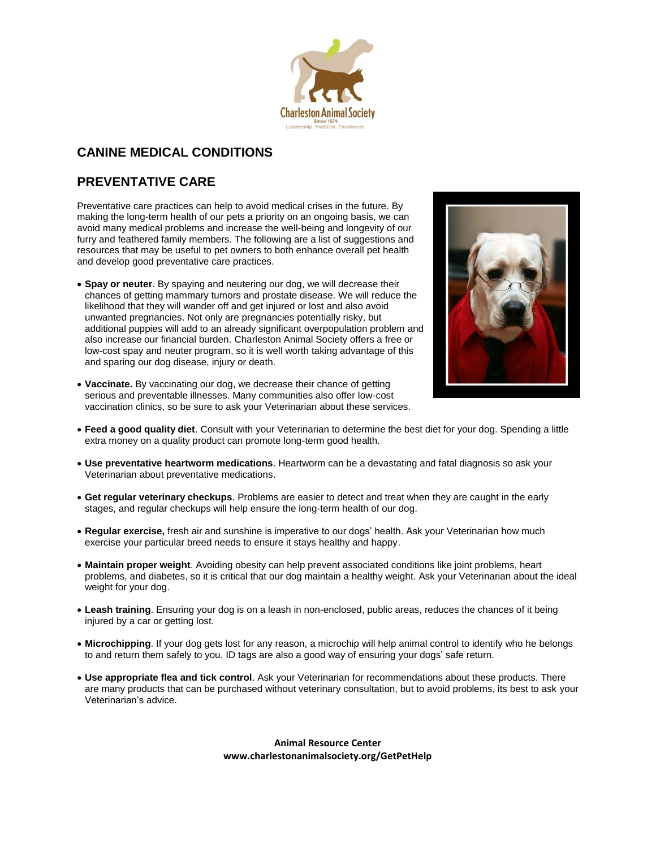

# **CANINE MEDICAL CONDITIONS**

# **PREVENTATIVE CARE**

Preventative care practices can help to avoid medical crises in the future. By making the long-term health of our pets a priority on an ongoing basis, we can avoid many medical problems and increase the well-being and longevity of our furry and feathered family members. The following are a list of suggestions and resources that may be useful to pet owners to both enhance overall pet health and develop good preventative care practices.

 **Spay or neuter**. By spaying and neutering our dog, we will decrease their chances of getting mammary tumors and prostate disease. We will reduce the likelihood that they will wander off and get injured or lost and also avoid unwanted pregnancies. Not only are pregnancies potentially risky, but additional puppies will add to an already significant overpopulation problem and also increase our financial burden. Charleston Animal Society offers a free or low-cost spay and neuter program, so it is well worth taking advantage of this and sparing our dog disease, injury or death.



- **Vaccinate.** By vaccinating our dog, we decrease their chance of getting serious and preventable illnesses. Many communities also offer low-cost vaccination clinics, so be sure to ask your Veterinarian about these services.
- **Feed a good quality diet**. Consult with your Veterinarian to determine the best diet for your dog. Spending a little extra money on a quality product can promote long-term good health.
- **Use preventative heartworm medications**. Heartworm can be a devastating and fatal diagnosis so ask your Veterinarian about preventative medications.
- **Get regular veterinary checkups**. Problems are easier to detect and treat when they are caught in the early stages, and regular checkups will help ensure the long-term health of our dog.
- **Regular exercise,** fresh air and sunshine is imperative to our dogs' health. Ask your Veterinarian how much exercise your particular breed needs to ensure it stays healthy and happy.
- **Maintain proper weight**. Avoiding obesity can help prevent associated conditions like joint problems, heart problems, and diabetes, so it is critical that our dog maintain a healthy weight. Ask your Veterinarian about the ideal weight for your dog.
- **Leash training**. Ensuring your dog is on a leash in non-enclosed, public areas, reduces the chances of it being injured by a car or getting lost.
- **Microchipping**. If your dog gets lost for any reason, a microchip will help animal control to identify who he belongs to and return them safely to you. ID tags are also a good way of ensuring your dogs' safe return.
- **Use appropriate flea and tick control**. Ask your Veterinarian for recommendations about these products. There are many products that can be purchased without veterinary consultation, but to avoid problems, its best to ask your Veterinarian's advice.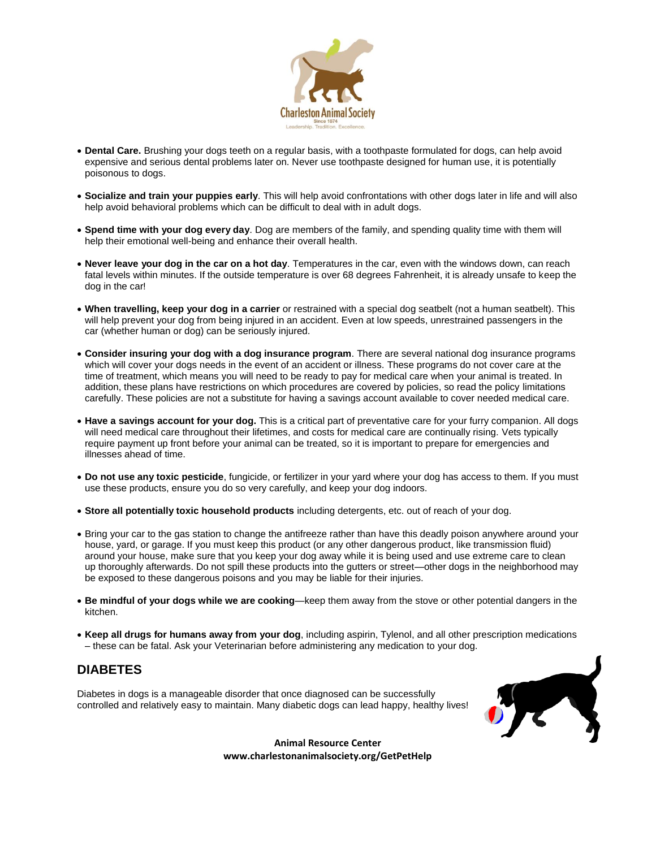

- **Dental Care.** Brushing your dogs teeth on a regular basis, with a toothpaste formulated for dogs, can help avoid expensive and serious dental problems later on. Never use toothpaste designed for human use, it is potentially poisonous to dogs.
- **Socialize and train your puppies early**. This will help avoid confrontations with other dogs later in life and will also help avoid behavioral problems which can be difficult to deal with in adult dogs.
- **Spend time with your dog every day**. Dog are members of the family, and spending quality time with them will help their emotional well-being and enhance their overall health.
- **Never leave your dog in the car on a hot day**. Temperatures in the car, even with the windows down, can reach fatal levels within minutes. If the outside temperature is over 68 degrees Fahrenheit, it is already unsafe to keep the dog in the car!
- **When travelling, keep your dog in a carrier** or restrained with a special dog seatbelt (not a human seatbelt). This will help prevent your dog from being injured in an accident. Even at low speeds, unrestrained passengers in the car (whether human or dog) can be seriously injured.
- **Consider insuring your dog with a dog insurance program**. There are several national dog insurance programs which will cover your dogs needs in the event of an accident or illness. These programs do not cover care at the time of treatment, which means you will need to be ready to pay for medical care when your animal is treated. In addition, these plans have restrictions on which procedures are covered by policies, so read the policy limitations carefully. These policies are not a substitute for having a savings account available to cover needed medical care.
- **Have a savings account for your dog.** This is a critical part of preventative care for your furry companion. All dogs will need medical care throughout their lifetimes, and costs for medical care are continually rising. Vets typically require payment up front before your animal can be treated, so it is important to prepare for emergencies and illnesses ahead of time.
- **Do not use any toxic pesticide**, fungicide, or fertilizer in your yard where your dog has access to them. If you must use these products, ensure you do so very carefully, and keep your dog indoors.
- **Store all potentially toxic household products** including detergents, etc. out of reach of your dog.
- Bring your car to the gas station to change the antifreeze rather than have this deadly poison anywhere around your house, yard, or garage. If you must keep this product (or any other dangerous product, like transmission fluid) around your house, make sure that you keep your dog away while it is being used and use extreme care to clean up thoroughly afterwards. Do not spill these products into the gutters or street—other dogs in the neighborhood may be exposed to these dangerous poisons and you may be liable for their injuries.
- **Be mindful of your dogs while we are cooking**—keep them away from the stove or other potential dangers in the kitchen.
- **Keep all drugs for humans away from your dog**, including aspirin, Tylenol, and all other prescription medications – these can be fatal. Ask your Veterinarian before administering any medication to your dog.

# **DIABETES**

Diabetes in dogs is a manageable disorder that once diagnosed can be successfully controlled and relatively easy to maintain. Many diabetic dogs can lead happy, healthy lives!

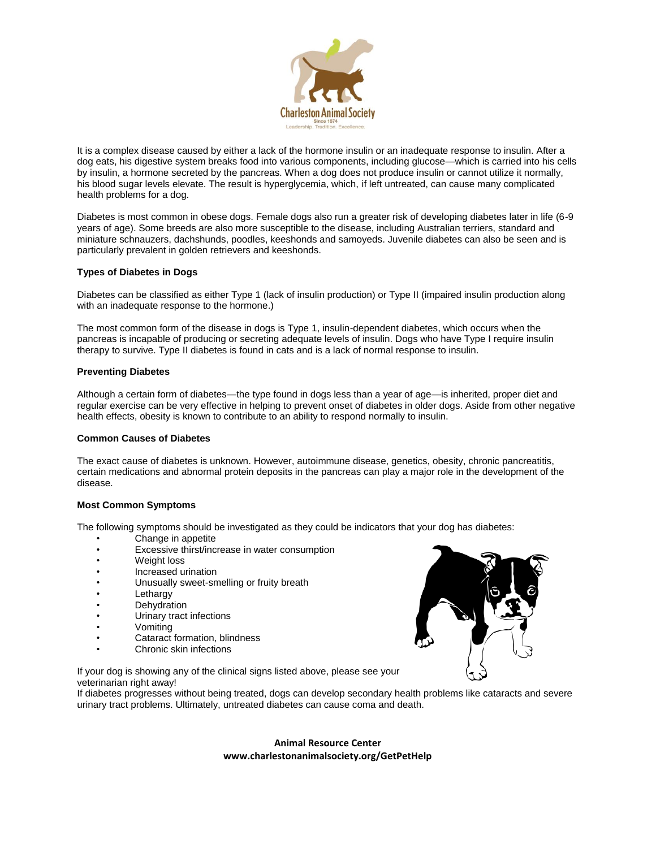

It is a complex disease caused by either a lack of the hormone insulin or an inadequate response to insulin. After a dog eats, his digestive system breaks food into various components, including glucose—which is carried into his cells by insulin, a hormone secreted by the pancreas. When a dog does not produce insulin or cannot utilize it normally, his blood sugar levels elevate. The result is hyperglycemia, which, if left untreated, can cause many complicated health problems for a dog.

Diabetes is most common in obese dogs. Female dogs also run a greater risk of developing diabetes later in life (6-9 years of age). Some breeds are also more susceptible to the disease, including Australian terriers, standard and miniature schnauzers, dachshunds, poodles, keeshonds and samoyeds. Juvenile diabetes can also be seen and is particularly prevalent in golden retrievers and keeshonds.

# **Types of Diabetes in Dogs**

Diabetes can be classified as either Type 1 (lack of insulin production) or Type II (impaired insulin production along with an inadequate response to the hormone.)

The most common form of the disease in dogs is Type 1, insulin-dependent diabetes, which occurs when the pancreas is incapable of producing or secreting adequate levels of insulin. Dogs who have Type I require insulin therapy to survive. Type II diabetes is found in cats and is a lack of normal response to insulin.

#### **Preventing Diabetes**

Although a certain form of diabetes—the type found in dogs less than a year of age—is inherited, proper diet and regular exercise can be very effective in helping to prevent onset of diabetes in older dogs. Aside from other negative health effects, obesity is known to contribute to an ability to respond normally to insulin.

### **Common Causes of Diabetes**

The exact cause of diabetes is unknown. However, autoimmune disease, genetics, obesity, chronic pancreatitis, certain medications and abnormal protein deposits in the pancreas can play a major role in the development of the disease.

### **Most Common Symptoms**

The following symptoms should be investigated as they could be indicators that your dog has diabetes:

- Change in appetite
- Excessive thirst/increase in water consumption
- Weight loss
- Increased urination
- Unusually sweet-smelling or fruity breath
- **Lethargy**
- Dehydration
- Urinary tract infections
- Vomiting
- Cataract formation, blindness
- Chronic skin infections

If your dog is showing any of the clinical signs listed above, please see your veterinarian right away!

If diabetes progresses without being treated, dogs can develop secondary health problems like cataracts and severe urinary tract problems. Ultimately, untreated diabetes can cause coma and death.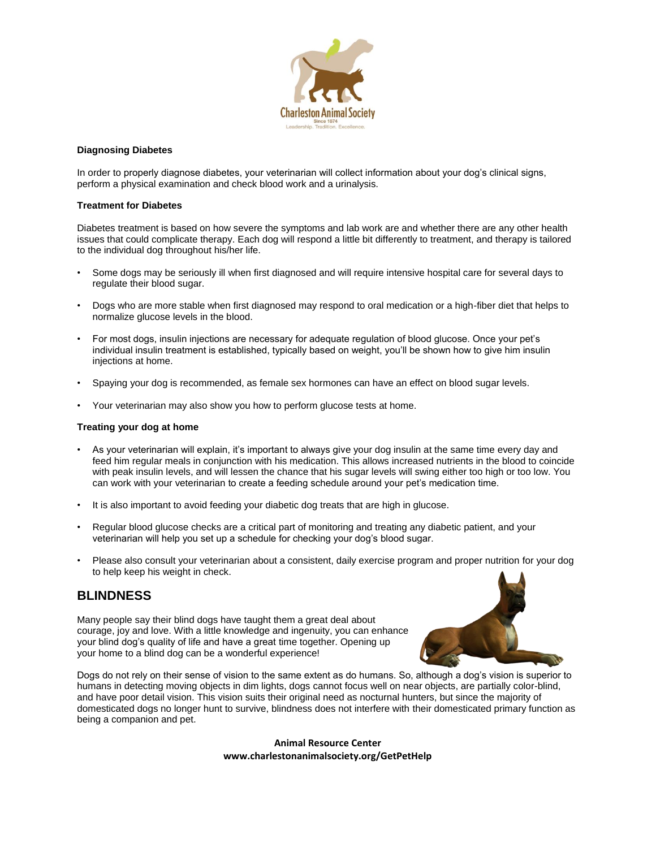

### **Diagnosing Diabetes**

In order to properly diagnose diabetes, your veterinarian will collect information about your dog's clinical signs, perform a physical examination and check blood work and a urinalysis.

### **Treatment for Diabetes**

Diabetes treatment is based on how severe the symptoms and lab work are and whether there are any other health issues that could complicate therapy. Each dog will respond a little bit differently to treatment, and therapy is tailored to the individual dog throughout his/her life.

- Some dogs may be seriously ill when first diagnosed and will require intensive hospital care for several days to regulate their blood sugar.
- Dogs who are more stable when first diagnosed may respond to oral medication or a high-fiber diet that helps to normalize glucose levels in the blood.
- For most dogs, insulin injections are necessary for adequate regulation of blood glucose. Once your pet's individual insulin treatment is established, typically based on weight, you'll be shown how to give him insulin injections at home.
- Spaying your dog is recommended, as female sex hormones can have an effect on blood sugar levels.
- Your veterinarian may also show you how to perform glucose tests at home.

### **Treating your dog at home**

- As your veterinarian will explain, it's important to always give your dog insulin at the same time every day and feed him regular meals in conjunction with his medication. This allows increased nutrients in the blood to coincide with peak insulin levels, and will lessen the chance that his sugar levels will swing either too high or too low. You can work with your veterinarian to create a feeding schedule around your pet's medication time.
- It is also important to avoid feeding your diabetic dog treats that are high in glucose.
- Regular blood glucose checks are a critical part of monitoring and treating any diabetic patient, and your veterinarian will help you set up a schedule for checking your dog's blood sugar.
- Please also consult your veterinarian about a consistent, daily exercise program and proper nutrition for your dog to help keep his weight in check.

# **BLINDNESS**

Many people say their blind dogs have taught them a great deal about courage, joy and love. With a little knowledge and ingenuity, you can enhance your blind dog's quality of life and have a great time together. Opening up your home to a blind dog can be a wonderful experience!



Dogs do not rely on their sense of vision to the same extent as do humans. So, although a dog's vision is superior to humans in detecting moving objects in dim lights, dogs cannot focus well on near objects, are partially color-blind, and have poor detail vision. This vision suits their original need as nocturnal hunters, but since the majority of domesticated dogs no longer hunt to survive, blindness does not interfere with their domesticated primary function as being a companion and pet.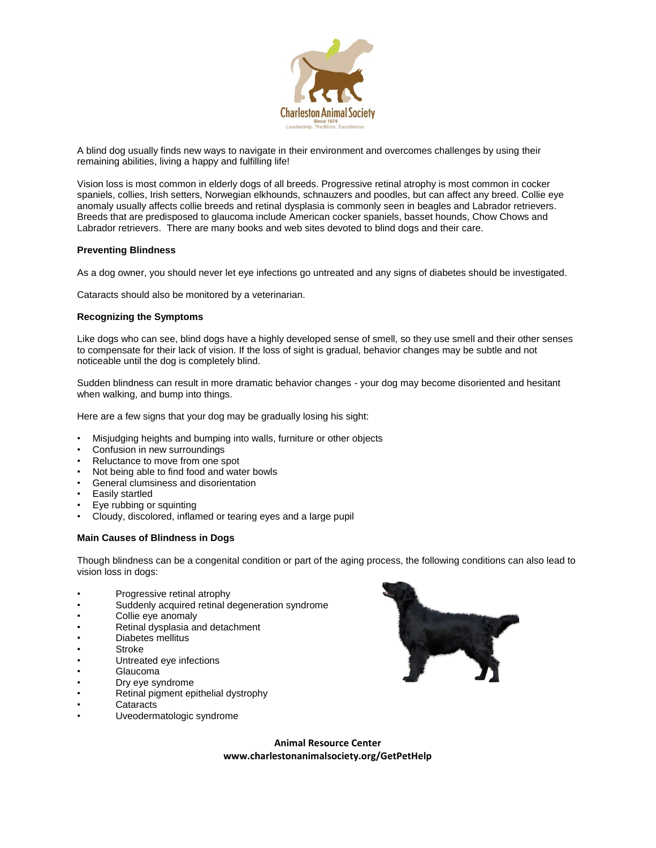

A blind dog usually finds new ways to navigate in their environment and overcomes challenges by using their remaining abilities, living a happy and fulfilling life!

Vision loss is most common in elderly dogs of all breeds. Progressive retinal atrophy is most common in cocker spaniels, collies, Irish setters, Norwegian elkhounds, schnauzers and poodles, but can affect any breed. Collie eye anomaly usually affects collie breeds and retinal dysplasia is commonly seen in beagles and Labrador retrievers. Breeds that are predisposed to glaucoma include American cocker spaniels, basset hounds, Chow Chows and Labrador retrievers. There are many books and web sites devoted to blind dogs and their care.

### **Preventing Blindness**

As a dog owner, you should never let eye infections go untreated and any signs of diabetes should be investigated.

Cataracts should also be monitored by a veterinarian.

#### **Recognizing the Symptoms**

Like dogs who can see, blind dogs have a highly developed sense of smell, so they use smell and their other senses to compensate for their lack of vision. If the loss of sight is gradual, behavior changes may be subtle and not noticeable until the dog is completely blind.

Sudden blindness can result in more dramatic behavior changes - your dog may become disoriented and hesitant when walking, and bump into things.

Here are a few signs that your dog may be gradually losing his sight:

- Misjudging heights and bumping into walls, furniture or other objects
- Confusion in new surroundings
- Reluctance to move from one spot
- Not being able to find food and water bowls
- General clumsiness and disorientation
- Easily startled
- Eye rubbing or squinting
- Cloudy, discolored, inflamed or tearing eyes and a large pupil

### **Main Causes of Blindness in Dogs**

Though blindness can be a congenital condition or part of the aging process, the following conditions can also lead to vision loss in dogs:

- Progressive retinal atrophy
- Suddenly acquired retinal degeneration syndrome
- Collie eye anomaly
- Retinal dysplasia and detachment
- Diabetes mellitus
- Stroke
- Untreated eye infections
- Glaucoma
- Dry eye syndrome
- Retinal pigment epithelial dystrophy
- **Cataracts**
- Uveodermatologic syndrome

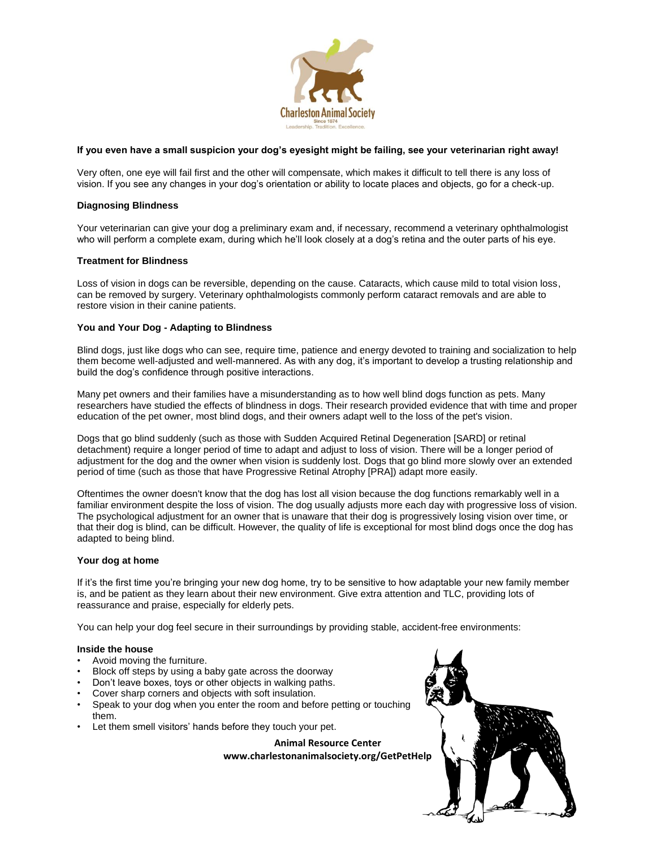

### **If you even have a small suspicion your dog's eyesight might be failing, see your veterinarian right away!**

Very often, one eye will fail first and the other will compensate, which makes it difficult to tell there is any loss of vision. If you see any changes in your dog's orientation or ability to locate places and objects, go for a check-up.

# **Diagnosing Blindness**

Your veterinarian can give your dog a preliminary exam and, if necessary, recommend a veterinary ophthalmologist who will perform a complete exam, during which he'll look closely at a dog's retina and the outer parts of his eye.

# **Treatment for Blindness**

Loss of vision in dogs can be reversible, depending on the cause. Cataracts, which cause mild to total vision loss, can be removed by surgery. Veterinary ophthalmologists commonly perform cataract removals and are able to restore vision in their canine patients.

# **You and Your Dog - Adapting to Blindness**

Blind dogs, just like dogs who can see, require time, patience and energy devoted to training and socialization to help them become well-adjusted and well-mannered. As with any dog, it's important to develop a trusting relationship and build the dog's confidence through positive interactions.

Many pet owners and their families have a misunderstanding as to how well blind dogs function as pets. Many researchers have studied the effects of blindness in dogs. Their research provided evidence that with time and proper education of the pet owner, most blind dogs, and their owners adapt well to the loss of the pet's vision.

Dogs that go blind suddenly (such as those with Sudden Acquired Retinal Degeneration [SARD] or retinal detachment) require a longer period of time to adapt and adjust to loss of vision. There will be a longer period of adjustment for the dog and the owner when vision is suddenly lost. Dogs that go blind more slowly over an extended period of time (such as those that have Progressive Retinal Atrophy [PRA]) adapt more easily.

Oftentimes the owner doesn't know that the dog has lost all vision because the dog functions remarkably well in a familiar environment despite the loss of vision. The dog usually adjusts more each day with progressive loss of vision. The psychological adjustment for an owner that is unaware that their dog is progressively losing vision over time, or that their dog is blind, can be difficult. However, the quality of life is exceptional for most blind dogs once the dog has adapted to being blind.

### **Your dog at home**

If it's the first time you're bringing your new dog home, try to be sensitive to how adaptable your new family member is, and be patient as they learn about their new environment. Give extra attention and TLC, providing lots of reassurance and praise, especially for elderly pets.

You can help your dog feel secure in their surroundings by providing stable, accident-free environments:

### **Inside the house**

- Avoid moving the furniture.
- Block off steps by using a baby gate across the doorway
- Don't leave boxes, toys or other objects in walking paths.
- Cover sharp corners and objects with soft insulation.
- Speak to your dog when you enter the room and before petting or touching them.
- Let them smell visitors' hands before they touch your pet.

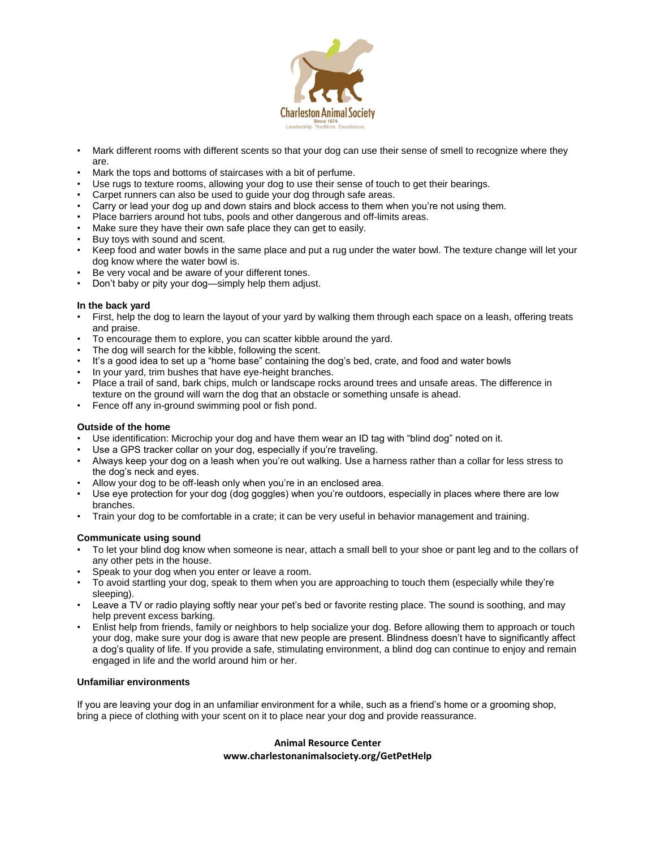

- Mark different rooms with different scents so that your dog can use their sense of smell to recognize where they are.
- Mark the tops and bottoms of staircases with a bit of perfume.
- Use rugs to texture rooms, allowing your dog to use their sense of touch to get their bearings.
- Carpet runners can also be used to guide your dog through safe areas.
- Carry or lead your dog up and down stairs and block access to them when you're not using them.
- Place barriers around hot tubs, pools and other dangerous and off-limits areas.
- Make sure they have their own safe place they can get to easily.
- Buy toys with sound and scent.
- Keep food and water bowls in the same place and put a rug under the water bowl. The texture change will let your dog know where the water bowl is.
- Be very vocal and be aware of your different tones.
- Don't baby or pity your dog—simply help them adjust.

### **In the back yard**

- First, help the dog to learn the layout of your yard by walking them through each space on a leash, offering treats and praise.
- To encourage them to explore, you can scatter kibble around the yard.
- The dog will search for the kibble, following the scent.
- It's a good idea to set up a "home base" containing the dog's bed, crate, and food and water bowls
- In your yard, trim bushes that have eye-height branches.
- Place a trail of sand, bark chips, mulch or landscape rocks around trees and unsafe areas. The difference in texture on the ground will warn the dog that an obstacle or something unsafe is ahead.
- Fence off any in-ground swimming pool or fish pond.

### **Outside of the home**

- Use identification: Microchip your dog and have them wear an ID tag with "blind dog" noted on it.
- Use a GPS tracker collar on your dog, especially if you're traveling.
- Always keep your dog on a leash when you're out walking. Use a harness rather than a collar for less stress to the dog's neck and eyes.
- Allow your dog to be off-leash only when you're in an enclosed area.
- Use eye protection for your dog (dog goggles) when you're outdoors, especially in places where there are low branches.
- Train your dog to be comfortable in a crate; it can be very useful in behavior management and training.

### **Communicate using sound**

- To let your blind dog know when someone is near, attach a small bell to your shoe or pant leg and to the collars of any other pets in the house.
- Speak to your dog when you enter or leave a room.
- To avoid startling your dog, speak to them when you are approaching to touch them (especially while they're sleeping).
- Leave a TV or radio playing softly near your pet's bed or favorite resting place. The sound is soothing, and may help prevent excess barking.
- Enlist help from friends, family or neighbors to help socialize your dog. Before allowing them to approach or touch your dog, make sure your dog is aware that new people are present. Blindness doesn't have to significantly affect a dog's quality of life. If you provide a safe, stimulating environment, a blind dog can continue to enjoy and remain engaged in life and the world around him or her.

# **Unfamiliar environments**

If you are leaving your dog in an unfamiliar environment for a while, such as a friend's home or a grooming shop, bring a piece of clothing with your scent on it to place near your dog and provide reassurance.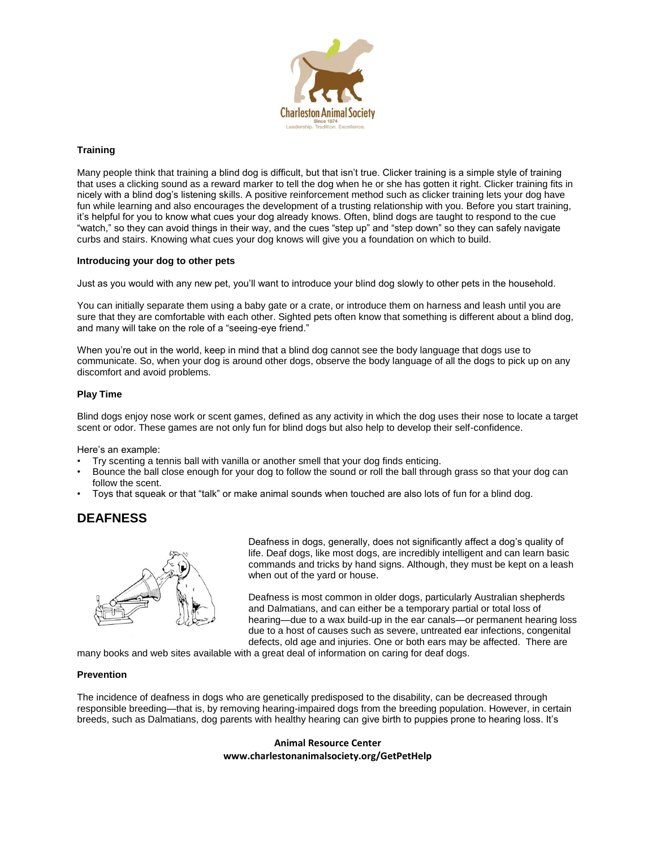

# **Training**

Many people think that training a blind dog is difficult, but that isn't true. Clicker training is a simple style of training that uses a clicking sound as a reward marker to tell the dog when he or she has gotten it right. Clicker training fits in nicely with a blind dog's listening skills. A positive reinforcement method such as clicker training lets your dog have fun while learning and also encourages the development of a trusting relationship with you. Before you start training, it's helpful for you to know what cues your dog already knows. Often, blind dogs are taught to respond to the cue "watch," so they can avoid things in their way, and the cues "step up" and "step down" so they can safely navigate curbs and stairs. Knowing what cues your dog knows will give you a foundation on which to build.

### **Introducing your dog to other pets**

Just as you would with any new pet, you'll want to introduce your blind dog slowly to other pets in the household.

You can initially separate them using a baby gate or a crate, or introduce them on harness and leash until you are sure that they are comfortable with each other. Sighted pets often know that something is different about a blind dog, and many will take on the role of a "seeing-eye friend."

When you're out in the world, keep in mind that a blind dog cannot see the body language that dogs use to communicate. So, when your dog is around other dogs, observe the body language of all the dogs to pick up on any discomfort and avoid problems.

### **Play Time**

Blind dogs enjoy nose work or scent games, defined as any activity in which the dog uses their nose to locate a target scent or odor. These games are not only fun for blind dogs but also help to develop their self-confidence.

Here's an example:

- Try scenting a tennis ball with vanilla or another smell that your dog finds enticing.
- Bounce the ball close enough for your dog to follow the sound or roll the ball through grass so that your dog can follow the scent.
- Toys that squeak or that "talk" or make animal sounds when touched are also lots of fun for a blind dog.

# **DEAFNESS**



Deafness in dogs, generally, does not significantly affect a dog's quality of life. Deaf dogs, like most dogs, are incredibly intelligent and can learn basic commands and tricks by hand signs. Although, they must be kept on a leash when out of the yard or house.

Deafness is most common in older dogs, particularly Australian shepherds and Dalmatians, and can either be a temporary partial or total loss of hearing—due to a wax build-up in the ear canals—or permanent hearing loss due to a host of causes such as severe, untreated ear infections, congenital defects, old age and injuries. One or both ears may be affected. There are

many books and web sites available with a great deal of information on caring for deaf dogs.

### **Prevention**

The incidence of deafness in dogs who are genetically predisposed to the disability, can be decreased through responsible breeding—that is, by removing hearing-impaired dogs from the breeding population. However, in certain breeds, such as Dalmatians, dog parents with healthy hearing can give birth to puppies prone to hearing loss. It's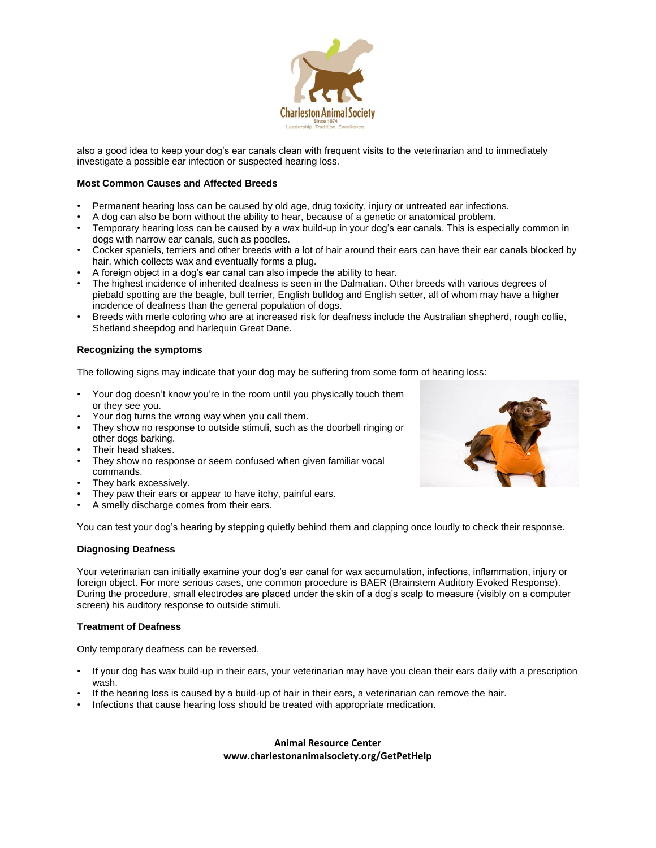

also a good idea to keep your dog's ear canals clean with frequent visits to the veterinarian and to immediately investigate a possible ear infection or suspected hearing loss.

# **Most Common Causes and Affected Breeds**

- Permanent hearing loss can be caused by old age, drug toxicity, injury or untreated ear infections.
- A dog can also be born without the ability to hear, because of a genetic or anatomical problem.
- Temporary hearing loss can be caused by a wax build-up in your dog's ear canals. This is especially common in dogs with narrow ear canals, such as poodles.
- Cocker spaniels, terriers and other breeds with a lot of hair around their ears can have their ear canals blocked by hair, which collects wax and eventually forms a plug.
- A foreign object in a dog's ear canal can also impede the ability to hear.
- The highest incidence of inherited deafness is seen in the Dalmatian. Other breeds with various degrees of piebald spotting are the beagle, bull terrier, English bulldog and English setter, all of whom may have a higher incidence of deafness than the general population of dogs.
- Breeds with merle coloring who are at increased risk for deafness include the Australian shepherd, rough collie, Shetland sheepdog and harlequin Great Dane.

#### **Recognizing the symptoms**

The following signs may indicate that your dog may be suffering from some form of hearing loss:

- Your dog doesn't know you're in the room until you physically touch them or they see you.
- Your dog turns the wrong way when you call them.
- They show no response to outside stimuli, such as the doorbell ringing or other dogs barking.
- Their head shakes.
- They show no response or seem confused when given familiar vocal commands.
- They bark excessively.
- They paw their ears or appear to have itchy, painful ears.
- A smelly discharge comes from their ears.

You can test your dog's hearing by stepping quietly behind them and clapping once loudly to check their response.

### **Diagnosing Deafness**

Your veterinarian can initially examine your dog's ear canal for wax accumulation, infections, inflammation, injury or foreign object. For more serious cases, one common procedure is BAER (Brainstem Auditory Evoked Response). During the procedure, small electrodes are placed under the skin of a dog's scalp to measure (visibly on a computer screen) his auditory response to outside stimuli.

### **Treatment of Deafness**

Only temporary deafness can be reversed.

- If your dog has wax build-up in their ears, your veterinarian may have you clean their ears daily with a prescription wash.
- If the hearing loss is caused by a build-up of hair in their ears, a veterinarian can remove the hair.
- Infections that cause hearing loss should be treated with appropriate medication.

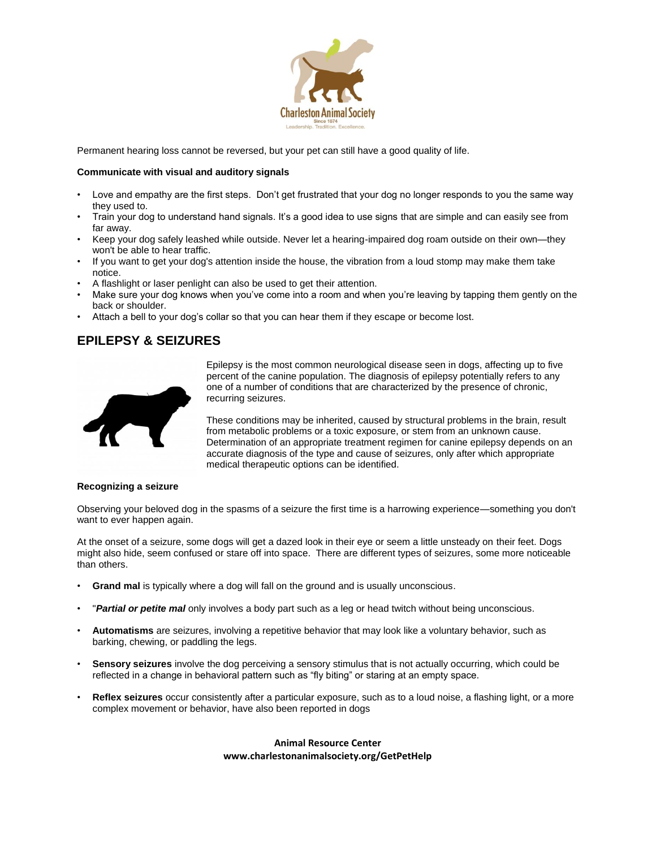

Permanent hearing loss cannot be reversed, but your pet can still have a good quality of life.

# **Communicate with visual and auditory signals**

- Love and empathy are the first steps. Don't get frustrated that your dog no longer responds to you the same way they used to.
- Train your dog to understand hand signals. It's a good idea to use signs that are simple and can easily see from far away.
- Keep your dog safely leashed while outside. Never let a hearing-impaired dog roam outside on their own—they won't be able to hear traffic.
- If you want to get your dog's attention inside the house, the vibration from a loud stomp may make them take notice.
- A flashlight or laser penlight can also be used to get their attention.
- Make sure your dog knows when you've come into a room and when you're leaving by tapping them gently on the back or shoulder.
- Attach a bell to your dog's collar so that you can hear them if they escape or become lost.

# **EPILEPSY & SEIZURES**



Epilepsy is the most common neurological disease seen in dogs, affecting up to five percent of the canine population. The diagnosis of epilepsy potentially refers to any one of a number of conditions that are characterized by the presence of chronic, recurring seizures.

These conditions may be inherited, caused by structural problems in the brain, result from metabolic problems or a toxic exposure, or stem from an unknown cause. Determination of an appropriate treatment regimen for canine epilepsy depends on an accurate diagnosis of the type and cause of seizures, only after which appropriate medical therapeutic options can be identified.

#### **Recognizing a seizure**

Observing your beloved dog in the spasms of a seizure the first time is a harrowing experience—something you don't want to ever happen again.

At the onset of a seizure, some dogs will get a dazed look in their eye or seem a little unsteady on their feet. Dogs might also hide, seem confused or stare off into space. There are different types of seizures, some more noticeable than others.

- **Grand mal** is typically where a dog will fall on the ground and is usually unconscious.
- "*Partial or petite mal* only involves a body part such as a leg or head twitch without being unconscious.
- **Automatisms** are seizures, involving a repetitive behavior that may look like a voluntary behavior, such as barking, chewing, or paddling the legs.
- **Sensory seizures** involve the dog perceiving a sensory stimulus that is not actually occurring, which could be reflected in a change in behavioral pattern such as "fly biting" or staring at an empty space.
- **Reflex seizures** occur consistently after a particular exposure, such as to a loud noise, a flashing light, or a more complex movement or behavior, have also been reported in dogs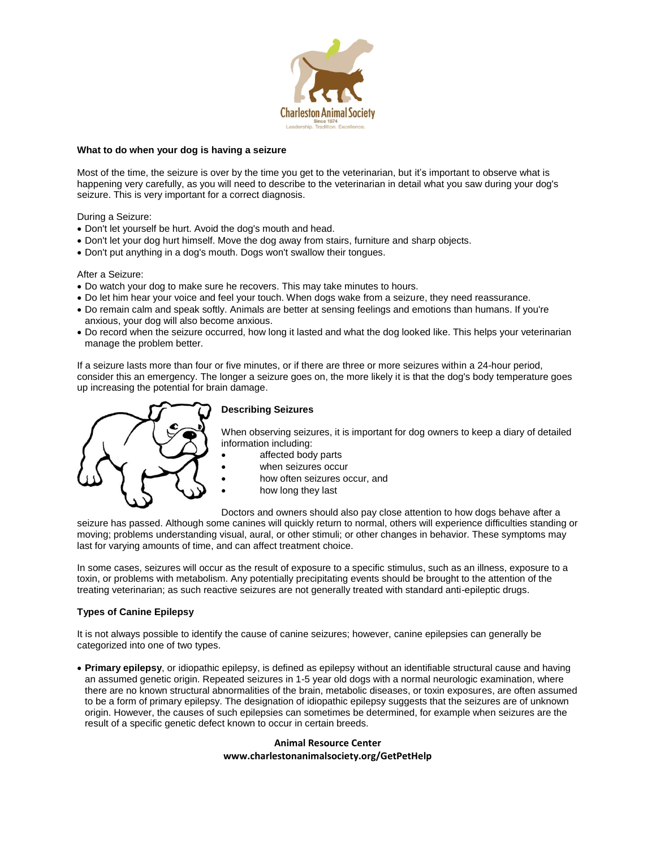

# **What to do when your dog is having a seizure**

Most of the time, the seizure is over by the time you get to the veterinarian, but it's important to observe what is happening very carefully, as you will need to describe to the veterinarian in detail what you saw during your dog's seizure. This is very important for a correct diagnosis.

During a Seizure:

- Don't let yourself be hurt. Avoid the dog's mouth and head.
- Don't let your dog hurt himself. Move the dog away from stairs, furniture and sharp objects.
- Don't put anything in a dog's mouth. Dogs won't swallow their tongues.

After a Seizure:

- Do watch your dog to make sure he recovers. This may take minutes to hours.
- Do let him hear your voice and feel your touch. When dogs wake from a seizure, they need reassurance.
- Do remain calm and speak softly. Animals are better at sensing feelings and emotions than humans. If you're anxious, your dog will also become anxious.
- Do record when the seizure occurred, how long it lasted and what the dog looked like. This helps your veterinarian manage the problem better.

If a seizure lasts more than four or five minutes, or if there are three or more seizures within a 24-hour period, consider this an emergency. The longer a seizure goes on, the more likely it is that the dog's body temperature goes up increasing the potential for brain damage.



# **Describing Seizures**

When observing seizures, it is important for dog owners to keep a diary of detailed information including:

- affected body parts
- when seizures occur
- how often seizures occur, and
- how long they last

Doctors and owners should also pay close attention to how dogs behave after a seizure has passed. Although some canines will quickly return to normal, others will experience difficulties standing or moving; problems understanding visual, aural, or other stimuli; or other changes in behavior. These symptoms may last for varying amounts of time, and can affect treatment choice.

In some cases, seizures will occur as the result of exposure to a specific stimulus, such as an illness, exposure to a toxin, or problems with metabolism. Any potentially precipitating events should be brought to the attention of the treating veterinarian; as such reactive seizures are not generally treated with standard anti-epileptic drugs.

# **Types of Canine Epilepsy**

It is not always possible to identify the cause of canine seizures; however, canine epilepsies can generally be categorized into one of two types.

 **Primary epilepsy**, or idiopathic epilepsy, is defined as epilepsy without an identifiable structural cause and having an assumed genetic origin. Repeated seizures in 1-5 year old dogs with a normal neurologic examination, where there are no known structural abnormalities of the brain, metabolic diseases, or toxin exposures, are often assumed to be a form of primary epilepsy. The designation of idiopathic epilepsy suggests that the seizures are of unknown origin. However, the causes of such epilepsies can sometimes be determined, for example when seizures are the result of a specific genetic defect known to occur in certain breeds.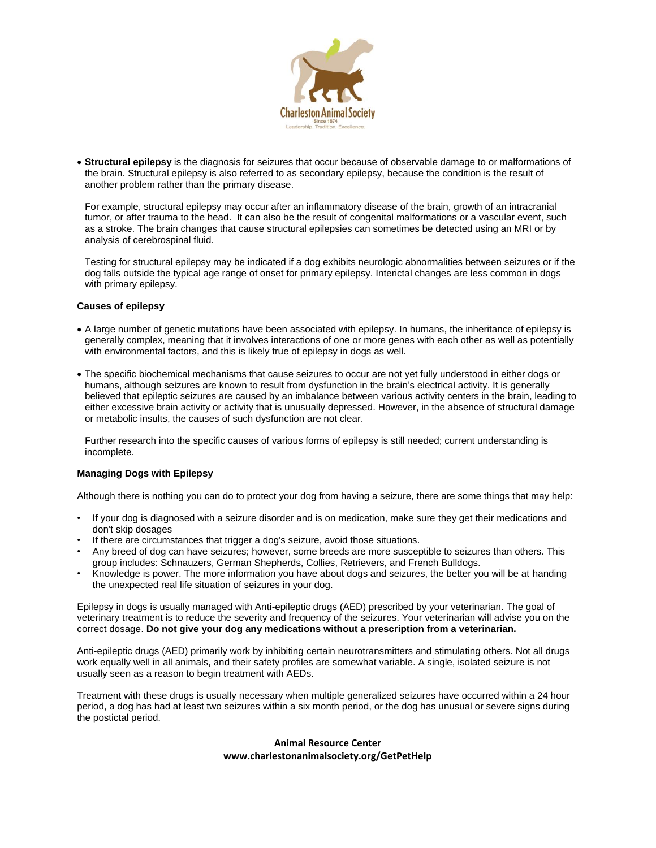

 **Structural epilepsy** is the diagnosis for seizures that occur because of observable damage to or malformations of the brain. Structural epilepsy is also referred to as secondary epilepsy, because the condition is the result of another problem rather than the primary disease.

For example, structural epilepsy may occur after an inflammatory disease of the brain, growth of an intracranial tumor, or after trauma to the head. It can also be the result of congenital malformations or a vascular event, such as a stroke. The brain changes that cause structural epilepsies can sometimes be detected using an MRI or by analysis of cerebrospinal fluid.

Testing for structural epilepsy may be indicated if a dog exhibits neurologic abnormalities between seizures or if the dog falls outside the typical age range of onset for primary epilepsy. Interictal changes are less common in dogs with primary epilepsy.

### **Causes of epilepsy**

- A large number of genetic mutations have been associated with epilepsy. In humans, the inheritance of epilepsy is generally complex, meaning that it involves interactions of one or more genes with each other as well as potentially with environmental factors, and this is likely true of epilepsy in dogs as well.
- The specific biochemical mechanisms that cause seizures to occur are not yet fully understood in either dogs or humans, although seizures are known to result from dysfunction in the brain's electrical activity. It is generally believed that epileptic seizures are caused by an imbalance between various activity centers in the brain, leading to either excessive brain activity or activity that is unusually depressed. However, in the absence of structural damage or metabolic insults, the causes of such dysfunction are not clear.

Further research into the specific causes of various forms of epilepsy is still needed; current understanding is incomplete.

# **Managing Dogs with Epilepsy**

Although there is nothing you can do to protect your dog from having a seizure, there are some things that may help:

- If your dog is diagnosed with a seizure disorder and is on medication, make sure they get their medications and don't skip dosages
- If there are circumstances that trigger a dog's seizure, avoid those situations.
- Any breed of dog can have seizures; however, some breeds are more susceptible to seizures than others. This group includes: Schnauzers, German Shepherds, Collies, Retrievers, and French Bulldogs.
- Knowledge is power. The more information you have about dogs and seizures, the better you will be at handing the unexpected real life situation of seizures in your dog.

Epilepsy in dogs is usually managed with Anti-epileptic drugs (AED) prescribed by your veterinarian. The goal of veterinary treatment is to reduce the severity and frequency of the seizures. Your veterinarian will advise you on the correct dosage. **Do not give your dog any medications without a prescription from a veterinarian.**

Anti-epileptic drugs (AED) primarily work by inhibiting certain neurotransmitters and stimulating others. Not all drugs work equally well in all animals, and their safety profiles are somewhat variable. A single, isolated seizure is not usually seen as a reason to begin treatment with AEDs.

Treatment with these drugs is usually necessary when multiple generalized seizures have occurred within a 24 hour period, a dog has had at least two seizures within a six month period, or the dog has unusual or severe signs during the postictal period.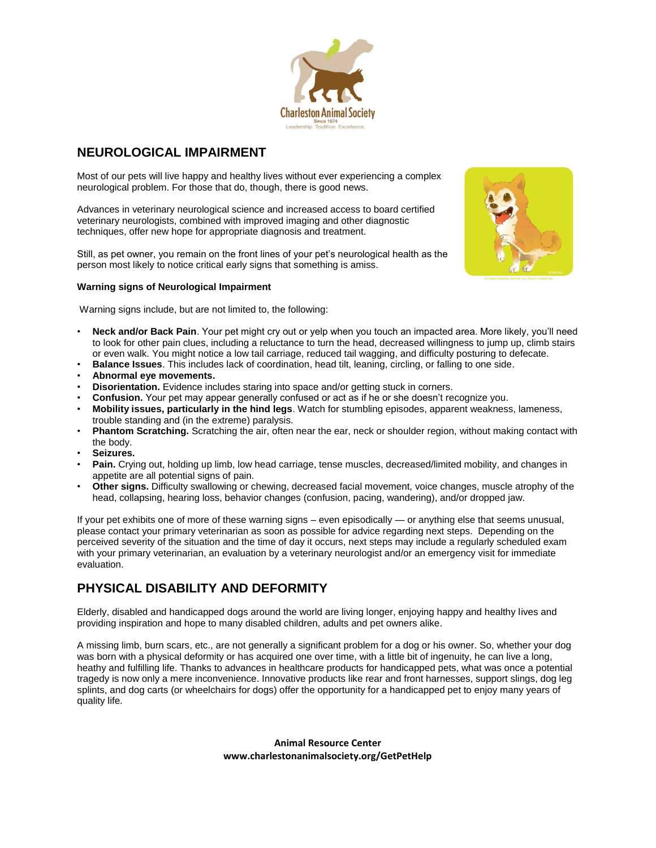

# **NEUROLOGICAL IMPAIRMENT**

Most of our pets will live happy and healthy lives without ever experiencing a complex neurological problem. For those that do, though, there is good news.

Advances in veterinary neurological science and increased access to board certified veterinary neurologists, combined with improved imaging and other diagnostic techniques, offer new hope for appropriate diagnosis and treatment.

Still, as pet owner, you remain on the front lines of your pet's neurological health as the person most likely to notice critical early signs that something is amiss.



# **Warning signs of Neurological Impairment**

Warning signs include, but are not limited to, the following:

- **Neck and/or Back Pain**. Your pet might cry out or yelp when you touch an impacted area. More likely, you'll need to look for other pain clues, including a reluctance to turn the head, decreased willingness to jump up, climb stairs or even walk. You might notice a low tail carriage, reduced tail wagging, and difficulty posturing to defecate.
- **Balance Issues**. This includes lack of coordination, head tilt, leaning, circling, or falling to one side.
- **Abnormal eye movements.**
- **Disorientation.** Evidence includes staring into space and/or getting stuck in corners.
- **Confusion.** Your pet may appear generally confused or act as if he or she doesn't recognize you.
- **Mobility issues, particularly in the hind legs**. Watch for stumbling episodes, apparent weakness, lameness, trouble standing and (in the extreme) paralysis.
- **Phantom Scratching.** Scratching the air, often near the ear, neck or shoulder region, without making contact with the body.
- **Seizures.**
- **Pain.** Crying out, holding up limb, low head carriage, tense muscles, decreased/limited mobility, and changes in appetite are all potential signs of pain.
- **Other signs.** Difficulty swallowing or chewing, decreased facial movement, voice changes, muscle atrophy of the head, collapsing, hearing loss, behavior changes (confusion, pacing, wandering), and/or dropped jaw.

If your pet exhibits one of more of these warning signs – even episodically — or anything else that seems unusual, please contact your primary veterinarian as soon as possible for advice regarding next steps. Depending on the perceived severity of the situation and the time of day it occurs, next steps may include a regularly scheduled exam with your primary veterinarian, an evaluation by a veterinary neurologist and/or an emergency visit for immediate evaluation.

# **PHYSICAL DISABILITY AND DEFORMITY**

Elderly, disabled and handicapped dogs around the world are living longer, enjoying happy and healthy lives and providing inspiration and hope to many disabled children, adults and pet owners alike.

A missing limb, burn scars, etc., are not generally a significant problem for a dog or his owner. So, whether your dog was born with a physical deformity or has acquired one over time, with a little bit of ingenuity, he can live a long, heathy and fulfilling life. Thanks to advances in healthcare products for handicapped pets, what was once a potential tragedy is now only a mere inconvenience. Innovative products like rear and front harnesses, support slings, dog leg splints, and dog carts (or wheelchairs for dogs) offer the opportunity for a handicapped pet to enjoy many years of quality life.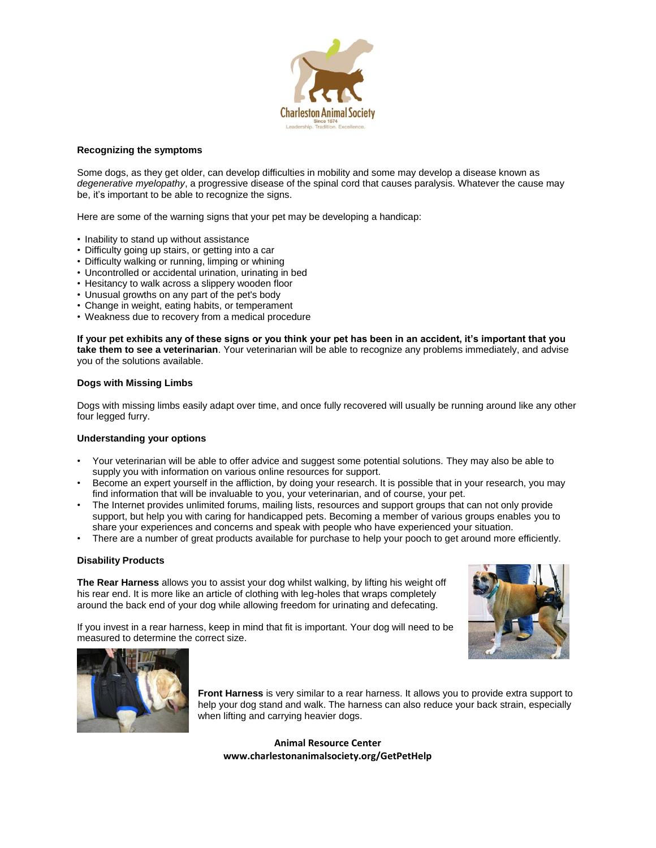

#### **Recognizing the symptoms**

Some dogs, as they get older, can develop difficulties in mobility and some may develop a disease known as *degenerative myelopathy*, a progressive disease of the spinal cord that causes paralysis. Whatever the cause may be, it's important to be able to recognize the signs.

Here are some of the warning signs that your pet may be developing a handicap:

- Inability to stand up without assistance
- Difficulty going up stairs, or getting into a car
- Difficulty walking or running, limping or whining
- Uncontrolled or accidental urination, urinating in bed
- Hesitancy to walk across a slippery wooden floor
- Unusual growths on any part of the pet's body
- Change in weight, eating habits, or temperament
- Weakness due to recovery from a medical procedure

**If your pet exhibits any of these signs or you think your pet has been in an accident, it's important that you take them to see a veterinarian**. Your veterinarian will be able to recognize any problems immediately, and advise you of the solutions available.

#### **Dogs with Missing Limbs**

Dogs with missing limbs easily adapt over time, and once fully recovered will usually be running around like any other four legged furry.

#### **Understanding your options**

- Your veterinarian will be able to offer advice and suggest some potential solutions. They may also be able to supply you with information on various online resources for support.
- Become an expert yourself in the affliction, by doing your research. It is possible that in your research, you may find information that will be invaluable to you, your veterinarian, and of course, your pet.
- The Internet provides unlimited forums, mailing lists, resources and support groups that can not only provide support, but help you with caring for handicapped pets. Becoming a member of various groups enables you to share your experiences and concerns and speak with people who have experienced your situation.
- There are a number of great products available for purchase to help your pooch to get around more efficiently.

### **Disability Products**

**The Rear Harness** allows you to assist your dog whilst walking, by lifting his weight off his rear end. It is more like an article of clothing with leg-holes that wraps completely around the back end of your dog while allowing freedom for urinating and defecating.



If you invest in a rear harness, keep in mind that fit is important. Your dog will need to be measured to determine the correct size.



**Front Harness** is very similar to a rear harness. It allows you to provide extra support to help your dog stand and walk. The harness can also reduce your back strain, especially when lifting and carrying heavier dogs.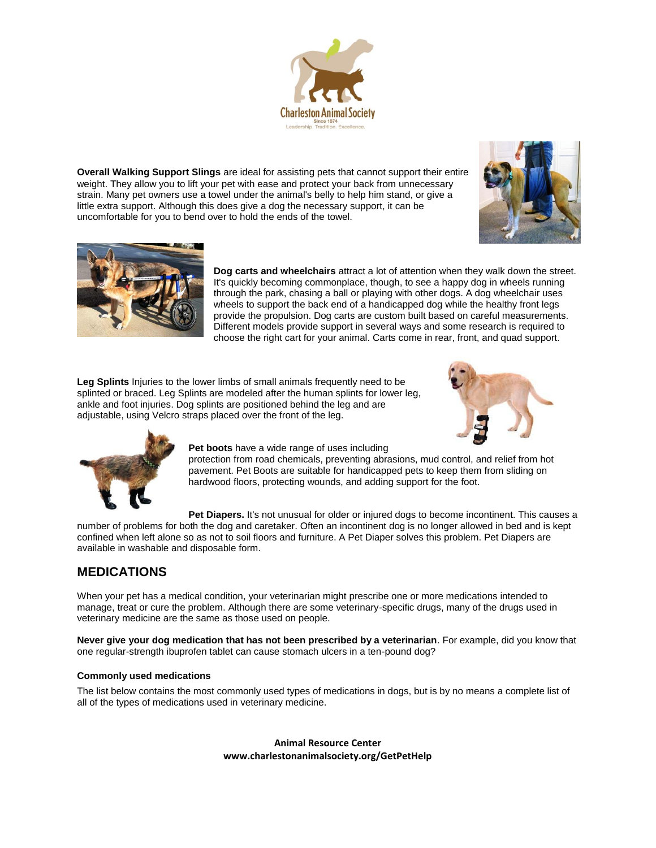

**Overall Walking Support Slings** are ideal for assisting pets that cannot support their entire weight. They allow you to lift your pet with ease and protect your back from unnecessary strain. Many pet owners use a towel under the animal's belly to help him stand, or give a little extra support. Although this does give a dog the necessary support, it can be uncomfortable for you to bend over to hold the ends of the towel.





**Dog carts and wheelchairs** attract a lot of attention when they walk down the street. It's quickly becoming commonplace, though, to see a happy dog in wheels running through the park, chasing a ball or playing with other dogs. A dog wheelchair uses wheels to support the back end of a handicapped dog while the healthy front legs provide the propulsion. Dog carts are custom built based on careful measurements. Different models provide support in several ways and some research is required to choose the right cart for your animal. Carts come in rear, front, and quad support.

**Leg Splints** Injuries to the lower limbs of small animals frequently need to be splinted or braced. Leg Splints are modeled after the human splints for lower leg, ankle and foot injuries. Dog splints are positioned behind the leg and are adjustable, using Velcro straps placed over the front of the leg.





**Pet boots** have a wide range of uses including

protection from road chemicals, preventing abrasions, mud control, and relief from hot pavement. Pet Boots are suitable for handicapped pets to keep them from sliding on hardwood floors, protecting wounds, and adding support for the foot.

**Pet Diapers.** It's not unusual for older or injured dogs to become incontinent. This causes a number of problems for both the dog and caretaker. Often an incontinent dog is no longer allowed in bed and is kept confined when left alone so as not to soil floors and furniture. A Pet Diaper solves this problem. Pet Diapers are available in washable and disposable form.

# **MEDICATIONS**

When your pet has a medical condition, your veterinarian might prescribe one or more medications intended to manage, treat or cure the problem. Although there are some veterinary-specific drugs, many of the drugs used in veterinary medicine are the same as those used on people.

**Never give your dog medication that has not been prescribed by a veterinarian**. For example, did you know that one regular-strength ibuprofen tablet can cause stomach ulcers in a ten-pound dog?

# **Commonly used medications**

The list below contains the most commonly used types of medications in dogs, but is by no means a complete list of all of the types of medications used in veterinary medicine.

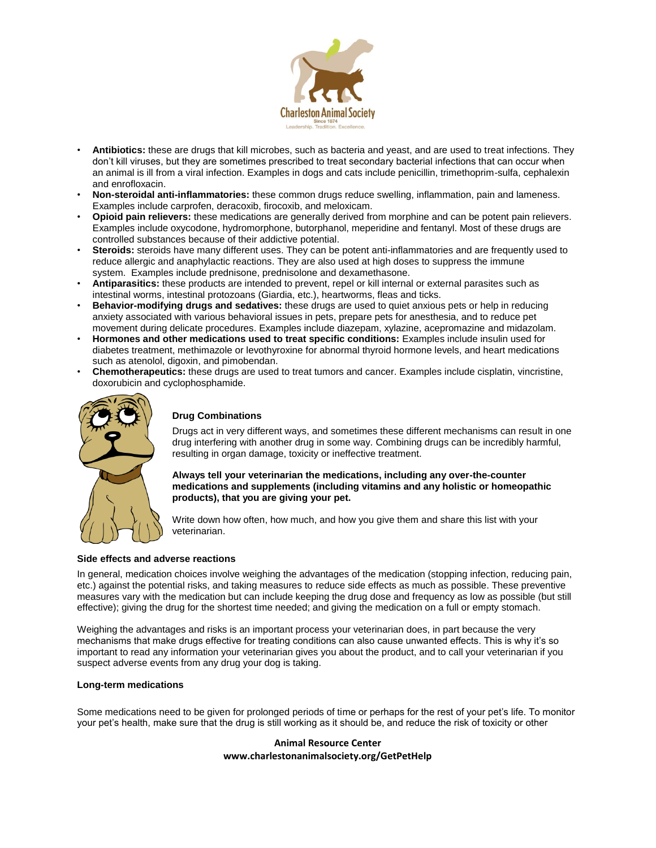

- **Antibiotics:** these are drugs that kill microbes, such as bacteria and yeast, and are used to treat infections. They don't kill viruses, but they are sometimes prescribed to treat secondary bacterial infections that can occur when an animal is ill from a viral infection. Examples in dogs and cats include penicillin, trimethoprim-sulfa, cephalexin and enrofloxacin.
- **Non-steroidal anti-inflammatories:** these common drugs reduce swelling, inflammation, pain and lameness. Examples include carprofen, deracoxib, firocoxib, and meloxicam.
- **Opioid pain relievers:** these medications are generally derived from morphine and can be potent pain relievers. Examples include oxycodone, hydromorphone, butorphanol, meperidine and fentanyl. Most of these drugs are controlled substances because of their addictive potential.
- **Steroids:** steroids have many different uses. They can be potent anti-inflammatories and are frequently used to reduce allergic and anaphylactic reactions. They are also used at high doses to suppress the immune system. Examples include prednisone, prednisolone and dexamethasone.
- **Antiparasitics:** these products are intended to prevent, repel or kill internal or external parasites such as intestinal worms, intestinal protozoans (Giardia, etc.), heartworms, fleas and ticks.
- **Behavior-modifying drugs and sedatives:** these drugs are used to quiet anxious pets or help in reducing anxiety associated with various behavioral issues in pets, prepare pets for anesthesia, and to reduce pet movement during delicate procedures. Examples include diazepam, xylazine, acepromazine and midazolam.
- **Hormones and other medications used to treat specific conditions:** Examples include insulin used for diabetes treatment, methimazole or levothyroxine for abnormal thyroid hormone levels, and heart medications such as atenolol, digoxin, and pimobendan.
- **Chemotherapeutics:** these drugs are used to treat tumors and cancer. Examples include cisplatin, vincristine, doxorubicin and cyclophosphamide.



# **Drug Combinations**

Drugs act in very different ways, and sometimes these different mechanisms can result in one drug interfering with another drug in some way. Combining drugs can be incredibly harmful, resulting in organ damage, toxicity or ineffective treatment.

**Always tell your veterinarian the medications, including any over-the-counter medications and supplements (including vitamins and any holistic or homeopathic products), that you are giving your pet.** 

Write down how often, how much, and how you give them and share this list with your veterinarian.

### **Side effects and adverse reactions**

In general, medication choices involve weighing the advantages of the medication (stopping infection, reducing pain, etc.) against the potential risks, and taking measures to reduce side effects as much as possible. These preventive measures vary with the medication but can include keeping the drug dose and frequency as low as possible (but still effective); giving the drug for the shortest time needed; and giving the medication on a full or empty stomach.

Weighing the advantages and risks is an important process your veterinarian does, in part because the very mechanisms that make drugs effective for treating conditions can also cause unwanted effects. This is why it's so important to read any information your veterinarian gives you about the product, and to call your veterinarian if you suspect adverse events from any drug your dog is taking.

### **Long-term medications**

Some medications need to be given for prolonged periods of time or perhaps for the rest of your pet's life. To monitor your pet's health, make sure that the drug is still working as it should be, and reduce the risk of toxicity or other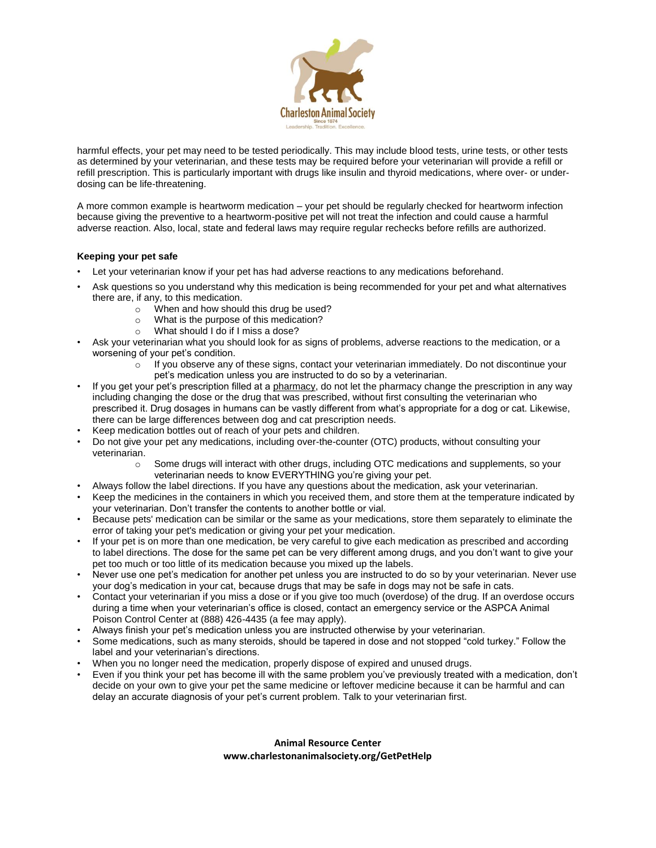

harmful effects, your pet may need to be tested periodically. This may include blood tests, urine tests, or other tests as determined by your veterinarian, and these tests may be required before your veterinarian will provide a refill or refill prescription. This is particularly important with drugs like insulin and thyroid medications, where over- or underdosing can be life-threatening.

A more common example is heartworm medication – your pet should be regularly checked for heartworm infection because giving the preventive to a heartworm-positive pet will not treat the infection and could cause a harmful adverse reaction. Also, local, state and federal laws may require regular rechecks before refills are authorized.

# **Keeping your pet safe**

- Let your veterinarian know if your pet has had adverse reactions to any medications beforehand.
- Ask questions so you understand why this medication is being recommended for your pet and what alternatives there are, if any, to this medication.
	- o When and how should this drug be used?
	- o What is the purpose of this medication?
	- o What should I do if I miss a dose?
- Ask your veterinarian what you should look for as signs of problems, adverse reactions to the medication, or a worsening of your pet's condition.
	- $\circ$  If you observe any of these signs, contact your veterinarian immediately. Do not discontinue your pet's medication unless you are instructed to do so by a veterinarian.
- If you get your pet's prescription filled at a [pharmacy,](https://www.avma.org/KB/Resources/FAQs/Pages/Prescriptions-and-Pharmacies-Pet-Owner-FAQs.aspx) do not let the pharmacy change the prescription in any way including changing the dose or the drug that was prescribed, without first consulting the veterinarian who prescribed it. Drug dosages in humans can be vastly different from what's appropriate for a dog or cat. Likewise, there can be large differences between dog and cat prescription needs.
- Keep medication bottles out of reach of your pets and children.
- Do not give your pet any medications, including over-the-counter (OTC) products, without consulting your veterinarian.
	- o Some drugs will interact with other drugs, including OTC medications and supplements, so your veterinarian needs to know EVERYTHING you're giving your pet.
	- Always follow the label directions. If you have any questions about the medication, ask your veterinarian.
- Keep the medicines in the containers in which you received them, and store them at the temperature indicated by your veterinarian. Don't transfer the contents to another bottle or vial.
- Because pets' medication can be similar or the same as your medications, store them separately to eliminate the error of taking your pet's medication or giving your pet your medication.
- If your pet is on more than one medication, be very careful to give each medication as prescribed and according to label directions. The dose for the same pet can be very different among drugs, and you don't want to give your pet too much or too little of its medication because you mixed up the labels.
- Never use one pet's medication for another pet unless you are instructed to do so by your veterinarian. Never use your dog's medication in your cat, because drugs that may be safe in dogs may not be safe in cats.
- Contact your veterinarian if you miss a dose or if you give too much (overdose) of the drug. If an overdose occurs during a time when your veterinarian's office is closed, contact an emergency service or the ASPCA Animal Poison Control Center at (888) 426-4435 (a fee may apply).
- Always finish your pet's medication unless you are instructed otherwise by your veterinarian.
- Some medications, such as many steroids, should be tapered in dose and not stopped "cold turkey." Follow the label and your veterinarian's directions.
- When you no longer need the medication, properly dispose of expired and unused drugs.
- Even if you think your pet has become ill with the same problem you've previously treated with a medication, don't decide on your own to give your pet the same medicine or leftover medicine because it can be harmful and can delay an accurate diagnosis of your pet's current problem. Talk to your veterinarian first.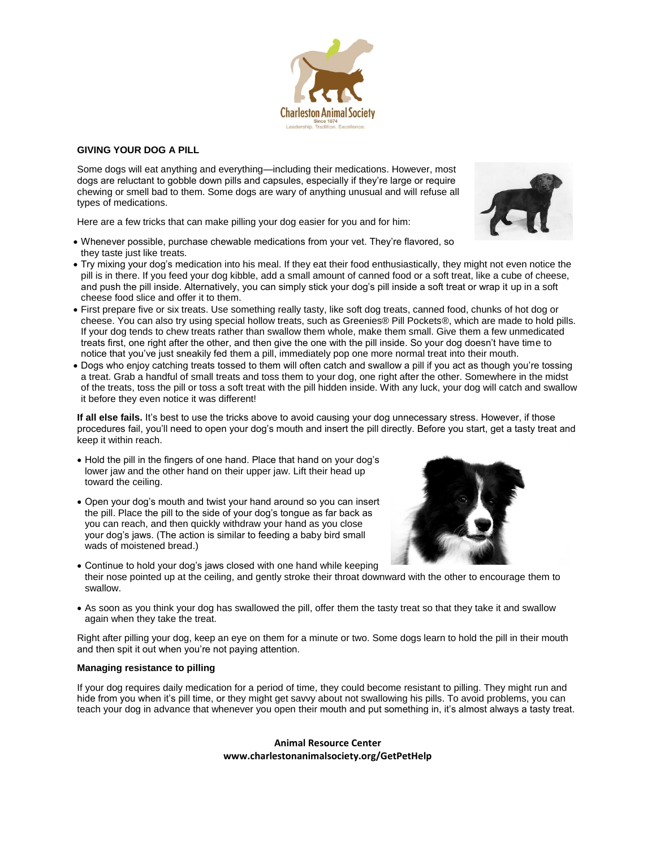

Some dogs will eat anything and everything—including their medications. However, most dogs are reluctant to gobble down pills and capsules, especially if they're large or require chewing or smell bad to them. Some dogs are wary of anything unusual and will refuse all types of medications.

Here are a few tricks that can make pilling your dog easier for you and for him:

- Whenever possible, purchase chewable medications from your vet. They're flavored, so they taste just like treats.
- Try mixing your dog's medication into his meal. If they eat their food enthusiastically, they might not even notice the pill is in there. If you feed your dog kibble, add a small amount of canned food or a soft treat, like a cube of cheese, and push the pill inside. Alternatively, you can simply stick your dog's pill inside a soft treat or wrap it up in a soft cheese food slice and offer it to them.
- First prepare five or six treats. Use something really tasty, like soft dog treats, canned food, chunks of hot dog or cheese. You can also try using special hollow treats, such as Greenies® Pill Pockets®, which are made to hold pills. If your dog tends to chew treats rather than swallow them whole, make them small. Give them a few unmedicated treats first, one right after the other, and then give the one with the pill inside. So your dog doesn't have time to notice that you've just sneakily fed them a pill, immediately pop one more normal treat into their mouth.
- Dogs who enjoy catching treats tossed to them will often catch and swallow a pill if you act as though you're tossing a treat. Grab a handful of small treats and toss them to your dog, one right after the other. Somewhere in the midst of the treats, toss the pill or toss a soft treat with the pill hidden inside. With any luck, your dog will catch and swallow it before they even notice it was different!

**If all else fails.** It's best to use the tricks above to avoid causing your dog unnecessary stress. However, if those procedures fail, you'll need to open your dog's mouth and insert the pill directly. Before you start, get a tasty treat and keep it within reach.

- Hold the pill in the fingers of one hand. Place that hand on your dog's lower jaw and the other hand on their upper jaw. Lift their head up toward the ceiling.
- Open your dog's mouth and twist your hand around so you can insert the pill. Place the pill to the side of your dog's tongue as far back as you can reach, and then quickly withdraw your hand as you close your dog's jaws. (The action is similar to feeding a baby bird small wads of moistened bread.)
- Continue to hold your dog's jaws closed with one hand while keeping their nose pointed up at the ceiling, and gently stroke their throat downward with the other to encourage them to swallow.
- As soon as you think your dog has swallowed the pill, offer them the tasty treat so that they take it and swallow again when they take the treat.

Right after pilling your dog, keep an eye on them for a minute or two. Some dogs learn to hold the pill in their mouth and then spit it out when you're not paying attention.

### **Managing resistance to pilling**

If your dog requires daily medication for a period of time, they could become resistant to pilling. They might run and hide from you when it's pill time, or they might get sayy about not swallowing his pills. To avoid problems, you can teach your dog in advance that whenever you open their mouth and put something in, it's almost always a tasty treat.





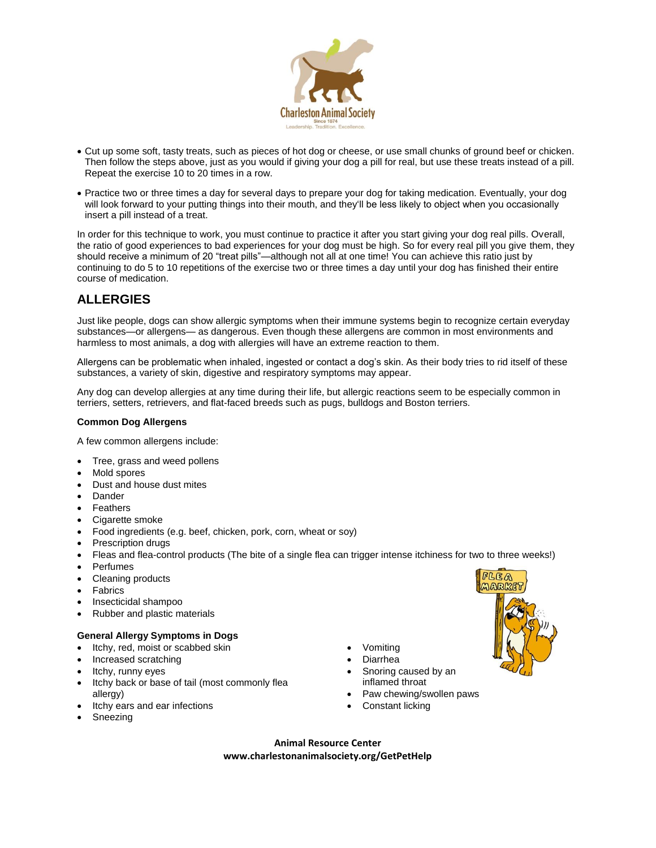

- Cut up some soft, tasty treats, such as pieces of hot dog or cheese, or use small chunks of ground beef or chicken. Then follow the steps above, just as you would if giving your dog a pill for real, but use these treats instead of a pill. Repeat the exercise 10 to 20 times in a row.
- Practice two or three times a day for several days to prepare your dog for taking medication. Eventually, your dog will look forward to your putting things into their mouth, and they'll be less likely to object when you occasionally insert a pill instead of a treat.

In order for this technique to work, you must continue to practice it after you start giving your dog real pills. Overall, the ratio of good experiences to bad experiences for your dog must be high. So for every real pill you give them, they should receive a minimum of 20 "treat pills"—although not all at one time! You can achieve this ratio just by continuing to do 5 to 10 repetitions of the exercise two or three times a day until your dog has finished their entire course of medication.

# **ALLERGIES**

Just like people, dogs can show allergic symptoms when their immune systems begin to recognize certain everyday substances—or allergens— as dangerous. Even though these allergens are common in most environments and harmless to most animals, a dog with allergies will have an extreme reaction to them.

Allergens can be problematic when inhaled, ingested or contact a dog's skin. As their body tries to rid itself of these substances, a variety of skin, digestive and respiratory symptoms may appear.

Any dog can develop allergies at any time during their life, but allergic reactions seem to be especially common in terriers, setters, retrievers, and flat-faced breeds such as pugs, bulldogs and Boston terriers.

# **Common Dog Allergens**

A few common allergens include:

- Tree, grass and weed pollens
- Mold spores
- Dust and house dust mites
- Dander
- Feathers
- Cigarette smoke
- Food ingredients (e.g. beef, chicken, pork, corn, wheat or soy)
- Prescription drugs
- Fleas and flea-control products (The bite of a single flea can trigger intense itchiness for two to three weeks!)
- Perfumes
- Cleaning products
- **Fabrics**
- Insecticidal shampoo
- Rubber and plastic materials

# **General Allergy Symptoms in Dogs**

- Itchy, red, moist or scabbed skin
- Increased scratching
- Itchy, runny eyes
- Itchy back or base of tail (most commonly flea allergy)
- Itchy ears and ear infections
- Sneezing
- Vomiting
- Diarrhea
- Snoring caused by an inflamed throat
- Paw chewing/swollen paws
- Constant licking

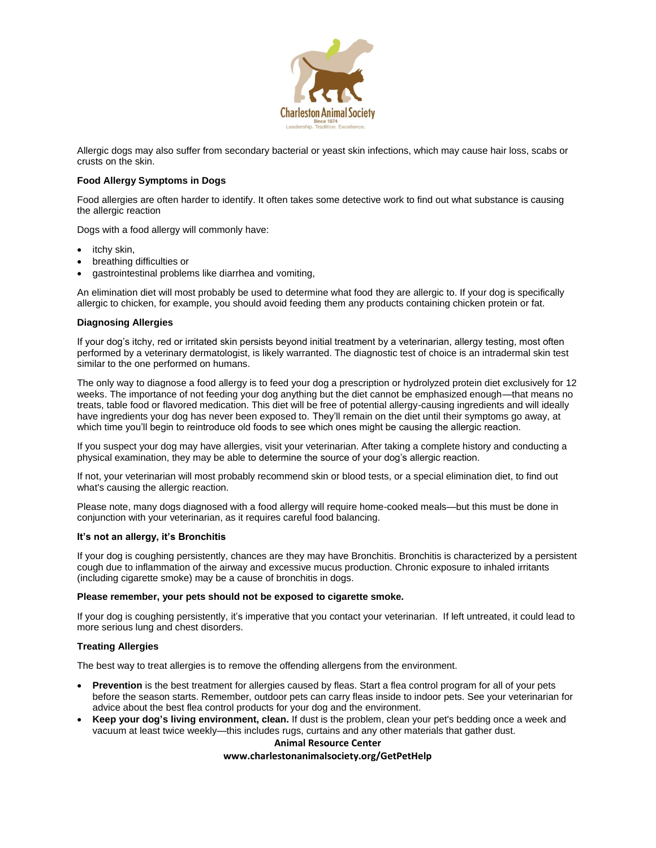

Allergic dogs may also suffer from secondary bacterial or yeast skin infections, which may cause hair loss, scabs or crusts on the skin.

### **Food Allergy Symptoms in Dogs**

Food allergies are often harder to identify. It often takes some detective work to find out what substance is causing the allergic reaction

Dogs with a food allergy will commonly have:

- itchy skin,
- breathing difficulties or
- gastrointestinal problems like diarrhea and vomiting,

An elimination diet will most probably be used to determine what food they are allergic to. If your dog is specifically allergic to chicken, for example, you should avoid feeding them any products containing chicken protein or fat.

#### **Diagnosing Allergies**

If your dog's itchy, red or irritated skin persists beyond initial treatment by a veterinarian, allergy testing, most often performed by a veterinary dermatologist, is likely warranted. The diagnostic test of choice is an intradermal skin test similar to the one performed on humans.

The only way to diagnose a food allergy is to feed your dog a prescription or hydrolyzed protein diet exclusively for 12 weeks. The importance of not feeding your dog anything but the diet cannot be emphasized enough—that means no treats, table food or flavored medication. This diet will be free of potential allergy-causing ingredients and will ideally have ingredients your dog has never been exposed to. They'll remain on the diet until their symptoms go away, at which time you'll begin to reintroduce old foods to see which ones might be causing the allergic reaction.

If you suspect your dog may have allergies, visit your veterinarian. After taking a complete history and conducting a physical examination, they may be able to determine the source of your dog's allergic reaction.

If not, your veterinarian will most probably recommend skin or blood tests, or a special elimination diet, to find out what's causing the allergic reaction.

Please note, many dogs diagnosed with a food allergy will require home-cooked meals—but this must be done in conjunction with your veterinarian, as it requires careful food balancing.

#### **It's not an allergy, it's Bronchitis**

If your dog is coughing persistently, chances are they may have Bronchitis. Bronchitis is characterized by a persistent cough due to inflammation of the airway and excessive mucus production. Chronic exposure to inhaled irritants (including cigarette smoke) may be a cause of bronchitis in dogs.

#### **Please remember, your pets should not be exposed to cigarette smoke.**

If your dog is coughing persistently, it's imperative that you contact your veterinarian. If left untreated, it could lead to more serious lung and chest disorders.

### **Treating Allergies**

The best way to treat allergies is to remove the offending allergens from the environment.

- **Prevention** is the best treatment for allergies caused by fleas. Start a flea control program for all of your pets before the season starts. Remember, outdoor pets can carry fleas inside to indoor pets. See your veterinarian for advice about the best flea control products for your dog and the environment.
- **Keep your dog's living environment, clean.** If dust is the problem, clean your pet's bedding once a week and vacuum at least twice weekly—this includes rugs, curtains and any other materials that gather dust.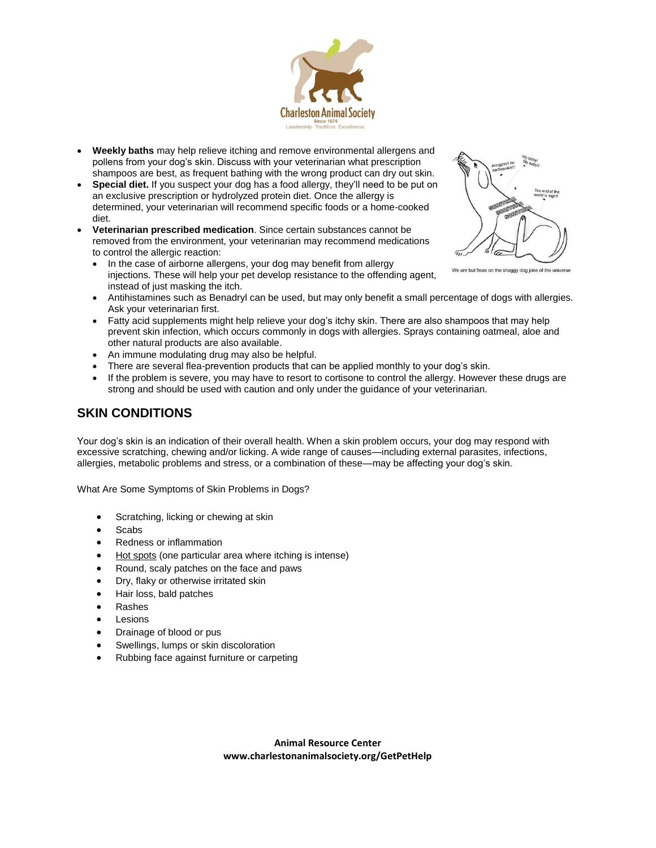

- **Weekly baths** may help relieve itching and remove environmental allergens and pollens from your dog's skin. Discuss with your veterinarian what prescription shampoos are best, as frequent bathing with the wrong product can dry out skin.
- **Special diet.** If you suspect your dog has a food allergy, they'll need to be put on an exclusive prescription or hydrolyzed protein diet. Once the allergy is determined, your veterinarian will recommend specific foods or a home-cooked diet.
- **Veterinarian prescribed medication**. Since certain substances cannot be removed from the environment, your veterinarian may recommend medications to control the allergic reaction:
	- In the case of airborne allergens, your dog may benefit from allergy injections. These will help your pet develop resistance to the offending agent, instead of just masking the itch.
	- Antihistamines such as Benadryl can be used, but may only benefit a small percentage of dogs with allergies. Ask your veterinarian first.
	- Fatty acid supplements might help relieve your dog's itchy skin. There are also shampoos that may help prevent skin infection, which occurs commonly in dogs with allergies. Sprays containing oatmeal, aloe and other natural products are also available.
	- An immune modulating drug may also be helpful.
	- There are several flea-prevention products that can be applied monthly to your dog's skin.
	- If the problem is severe, you may have to resort to cortisone to control the allergy. However these drugs are strong and should be used with caution and only under the guidance of your veterinarian.

# **SKIN CONDITIONS**

Your dog's skin is an indication of their overall health. When a skin problem occurs, your dog may respond with excessive scratching, chewing and/or licking. A wide range of causes—including external parasites, infections, allergies, metabolic problems and stress, or a combination of these—may be affecting your dog's skin.

What Are Some Symptoms of Skin Problems in Dogs?

- Scratching, licking or chewing at skin
- **Scabs**
- Redness or inflammation
- [Hot spots](https://www.aspca.org/pet-care/dog-care/hot-spots) (one particular area where itching is intense)
- Round, scaly patches on the face and paws
- Dry, flaky or otherwise irritated skin
- Hair loss, bald patches
- Rashes
- Lesions
- Drainage of blood or pus
- Swellings, lumps or skin discoloration
- Rubbing face against furniture or carpeting



We are but fleas on the shaggy dog joke of the universe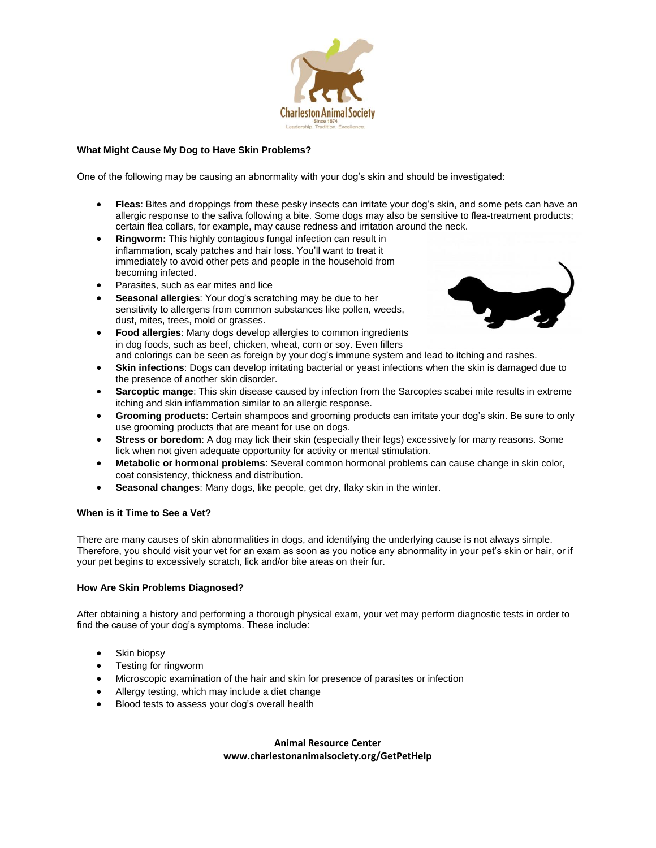

# **What Might Cause My Dog to Have Skin Problems?**

One of the following may be causing an abnormality with your dog's skin and should be investigated:

- **Fleas**: Bites and droppings from these pesky insects can irritate your dog's skin, and some pets can have an allergic response to the saliva following a bite. Some dogs may also be sensitive to flea-treatment products; certain flea collars, for example, may cause redness and irritation around the neck.
- **Ringworm:** This highly contagious fungal infection can result in inflammation, scaly patches and hair loss. You'll want to treat it immediately to avoid other pets and people in the household from becoming infected.
- Parasites, such as ear mites and lice
- **Seasonal allergies**: Your dog's scratching may be due to her sensitivity to allergens from common substances like pollen, weeds, dust, mites, trees, mold or grasses.
- **Food allergies**: Many dogs develop allergies to common ingredients in dog foods, such as beef, chicken, wheat, corn or soy. Even fillers and colorings can be seen as foreign by your dog's immune system and lead to itching and rashes.
- **Skin infections**: Dogs can develop irritating bacterial or yeast infections when the skin is damaged due to the presence of another skin disorder.
- **Sarcoptic mange**: This skin disease caused by infection from the Sarcoptes scabei mite results in extreme itching and skin inflammation similar to an allergic response.
- **Grooming products**: Certain shampoos and grooming products can irritate your dog's skin. Be sure to only use grooming products that are meant for use on dogs.
- **Stress or boredom**: A dog may lick their skin (especially their legs) excessively for many reasons. Some lick when not given adequate opportunity for activity or mental stimulation.
- **Metabolic or hormonal problems**: Several common hormonal problems can cause change in skin color, coat consistency, thickness and distribution.
- **Seasonal changes**: Many dogs, like people, get dry, flaky skin in the winter.

# **When is it Time to See a Vet?**

There are many causes of skin abnormalities in dogs, and identifying the underlying cause is not always simple. Therefore, you should visit your vet for an exam as soon as you notice any abnormality in your pet's skin or hair, or if your pet begins to excessively scratch, lick and/or bite areas on their fur.

#### **How Are Skin Problems Diagnosed?**

After obtaining a history and performing a thorough physical exam, your vet may perform diagnostic tests in order to find the cause of your dog's symptoms. These include:

- Skin biopsy
- Testing for ringworm
- Microscopic examination of the hair and skin for presence of parasites or infection
- [Allergy testing,](https://www.aspca.org/pet-care/dog-care/allergies) which may include a diet change
- Blood tests to assess your dog's overall health